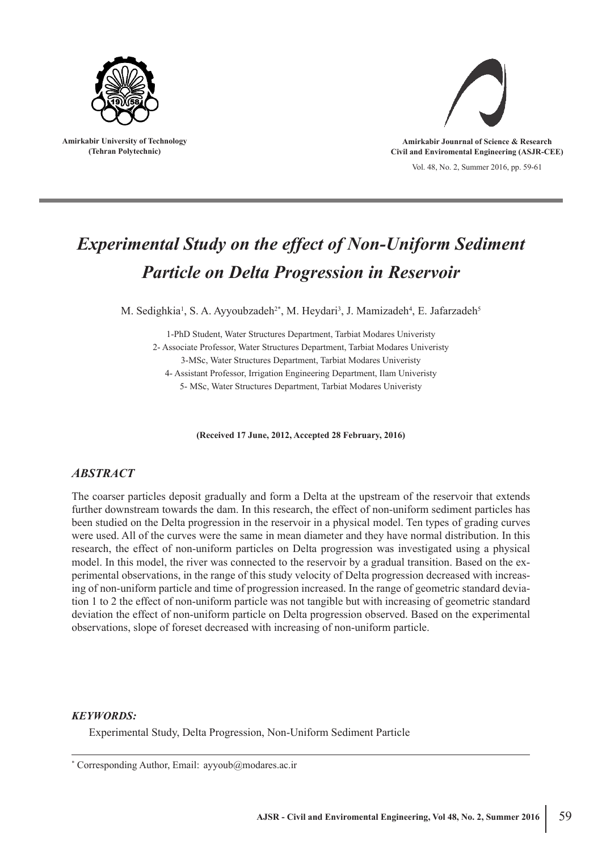

**Amirkabir University of Technology (Tehran Polytechnic)**



Vol. 48, No. 2, Summer 2016, pp. 59-61 **Amirkabir Jounrnal of Science & Research Civil and Enviromental Engineering (ASJR-CEE)**

# *Experimental Study on the effect of Non-Uniform Sediment Particle on Delta Progression in Reservoir*

M. Sedighkia<sup>1</sup>, S. A. Ayyoubzadeh<sup>2\*</sup>, M. Heydari<sup>3</sup>, J. Mamizadeh<sup>4</sup>, E. Jafarzadeh<sup>5</sup>

1-PhD Student, Water Structures Department, Tarbiat Modares Univeristy 2- Associate Professor, Water Structures Department, Tarbiat Modares Univeristy 3-MSc, Water Structures Department, Tarbiat Modares Univeristy

4- Assistant Professor, Irrigation Engineering Department, Ilam Univeristy 5- MSc, Water Structures Department, Tarbiat Modares Univeristy

**(Received 17 June, 2012, Accepted 28 February, 2016)**

# *ABSTRACT*

The coarser particles deposit gradually and form a Delta at the upstream of the reservoir that extends further downstream towards the dam. In this research, the effect of non-uniform sediment particles has been studied on the Delta progression in the reservoir in a physical model. Ten types of grading curves were used. All of the curves were the same in mean diameter and they have normal distribution. In this research, the effect of non-uniform particles on Delta progression was investigated using a physical model. In this model, the river was connected to the reservoir by a gradual transition. Based on the experimental observations, in the range of this study velocity of Delta progression decreased with increasing of non-uniform particle and time of progression increased. In the range of geometric standard deviation 1 to 2 the effect of non-uniform particle was not tangible but with increasing of geometric standard deviation the effect of non-uniform particle on Delta progression observed. Based on the experimental observations, slope of foreset decreased with increasing of non-uniform particle.

## *KEYWORDS:*

Experimental Study, Delta Progression, Non-Uniform Sediment Particle

\* Corresponding Author, Email: ayyoub@modares.ac.ir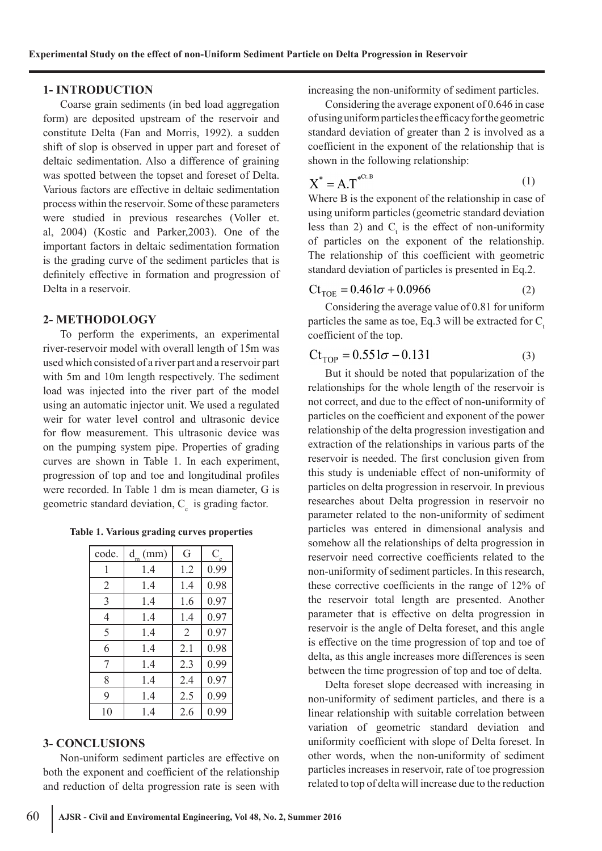## **1- INTRODUCTION**

Coarse grain sediments (in bed load aggregation form) are deposited upstream of the reservoir and constitute Delta (Fan and Morris, 1992). a sudden shift of slop is observed in upper part and foreset of deltaic sedimentation. Also a difference of graining was spotted between the topset and foreset of Delta. Various factors are effective in deltaic sedimentation process within the reservoir. Some of these parameters were studied in previous researches (Voller et. al, 2004) (Kostic and Parker,2003). One of the important factors in deltaic sedimentation formation is the grading curve of the sediment particles that is definitely effective in formation and progression of Delta in a reservoir.

## **2- METHODOLOGY**

To perform the experiments, an experimental river-reservoir model with overall length of 15m was used which consisted of a river part and a reservoir part with 5m and 10m length respectively. The sediment load was injected into the river part of the model using an automatic injector unit. We used a regulated weir for water level control and ultrasonic device for flow measurement. This ultrasonic device was on the pumping system pipe. Properties of grading curves are shown in Table 1. In each experiment, progression of top and toe and longitudinal profiles were recorded. In Table 1 dm is mean diameter, G is geometric standard deviation,  $C_c$  is grading factor.

**Table 1. Various grading curves properties**

| code. | $d_{\sf m}$<br>(mm) | G              | $\rm C_{_{\circ}}$ |
|-------|---------------------|----------------|--------------------|
| 1     | 1.4                 | 1.2            | 0.99               |
| 2     | 1.4                 | 1.4            | 0.98               |
| 3     | 1.4                 | 1.6            | 0.97               |
| 4     | 1.4                 | 1.4            | 0.97               |
| 5     | 1.4                 | $\overline{2}$ | 0.97               |
| 6     | 1.4                 | 2.1            | 0.98               |
| 7     | 1.4                 | 2.3            | 0.99               |
| 8     | 1.4                 | 2.4            | 0.97               |
| 9     | 1.4                 | 2.5            | 0.99               |
| 10    | 1.4                 | 2.6            | 0.99               |

#### **3- CONCLUSIONS**

Non-uniform sediment particles are effective on both the exponent and coefficient of the relationship and reduction of delta progression rate is seen with increasing the non-uniformity of sediment particles.

Considering the average exponent of 0.646 in case of using uniform particles the efficacy for the geometric standard deviation of greater than 2 is involved as a coefficient in the exponent of the relationship that is shown in the following relationship:

$$
X^* = A.T^{*^{Ct.B}} \tag{1}
$$

Where B is the exponent of the relationship in case of using uniform particles (geometric standard deviation less than 2) and  $C_t$  is the effect of non-uniformity of particles on the exponent of the relationship. The relationship of this coefficient with geometric standard deviation of particles is presented in Eq.2.

$$
Ct_{\text{TOE}} = 0.461\sigma + 0.0966\tag{2}
$$

Considering the average value of 0.81 for uniform particles the same as toe, Eq.3 will be extracted for  $C_t$ . coefficient of the top.

$$
Ct_{TOP} = 0.551\sigma - 0.131\tag{3}
$$

But it should be noted that popularization of the relationships for the whole length of the reservoir is not correct, and due to the effect of non-uniformity of particles on the coefficient and exponent of the power relationship of the delta progression investigation and extraction of the relationships in various parts of the reservoir is needed. The first conclusion given from this study is undeniable effect of non-uniformity of particles on delta progression in reservoir. In previous researches about Delta progression in reservoir no parameter related to the non-uniformity of sediment particles was entered in dimensional analysis and somehow all the relationships of delta progression in reservoir need corrective coefficients related to the non-uniformity of sediment particles. In this research, these corrective coefficients in the range of 12% of the reservoir total length are presented. Another parameter that is effective on delta progression in reservoir is the angle of Delta foreset, and this angle is effective on the time progression of top and toe of delta, as this angle increases more differences is seen between the time progression of top and toe of delta.

Delta foreset slope decreased with increasing in non-uniformity of sediment particles, and there is a linear relationship with suitable correlation between variation of geometric standard deviation and uniformity coefficient with slope of Delta foreset. In other words, when the non-uniformity of sediment particles increases in reservoir, rate of toe progression related to top of delta will increase due to the reduction